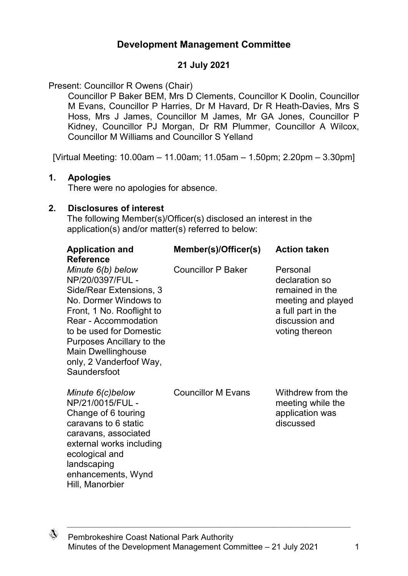# **Development Management Committee**

### **21 July 2021**

Present: Councillor R Owens (Chair)

Councillor P Baker BEM, Mrs D Clements, Councillor K Doolin, Councillor M Evans, Councillor P Harries, Dr M Havard, Dr R Heath-Davies, Mrs S Hoss, Mrs J James, Councillor M James, Mr GA Jones, Councillor P Kidney, Councillor PJ Morgan, Dr RM Plummer, Councillor A Wilcox, Councillor M Williams and Councillor S Yelland

[Virtual Meeting: 10.00am – 11.00am; 11.05am – 1.50pm; 2.20pm – 3.30pm]

#### **1. Apologies**

There were no apologies for absence.

#### **2. Disclosures of interest**

The following Member(s)/Officer(s) disclosed an interest in the application(s) and/or matter(s) referred to below:

| <b>Application and</b><br><b>Reference</b>                                                                                                                                                                                                                                            | Member(s)/Officer(s)      | <b>Action taken</b>                                                                                                           |
|---------------------------------------------------------------------------------------------------------------------------------------------------------------------------------------------------------------------------------------------------------------------------------------|---------------------------|-------------------------------------------------------------------------------------------------------------------------------|
| Minute 6(b) below<br>NP/20/0397/FUL -<br>Side/Rear Extensions, 3<br>No. Dormer Windows to<br>Front, 1 No. Rooflight to<br><b>Rear - Accommodation</b><br>to be used for Domestic<br>Purposes Ancillary to the<br><b>Main Dwellinghouse</b><br>only, 2 Vanderfoof Way,<br>Saundersfoot | <b>Councillor P Baker</b> | Personal<br>declaration so<br>remained in the<br>meeting and played<br>a full part in the<br>discussion and<br>voting thereon |
| Minute 6(c)below<br>NP/21/0015/FUL -<br>Change of 6 touring<br>caravans to 6 static<br>caravans, associated<br>external works including<br>ecological and<br>landscaping<br>enhancements, Wynd<br>Hill, Manorbier                                                                     | <b>Councillor M Evans</b> | Withdrew from the<br>meeting while the<br>application was<br>discussed                                                        |

♢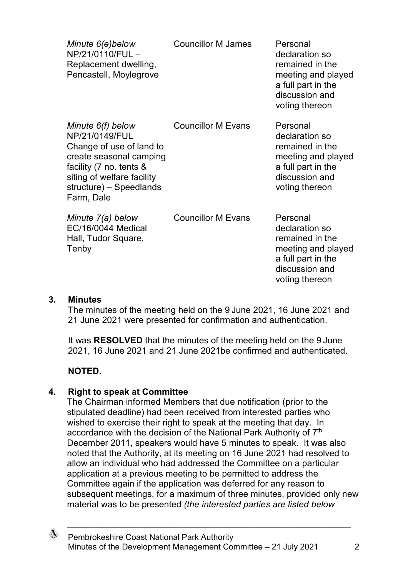| Minute 6(e)below<br>NP/21/0110/FUL-<br>Replacement dwelling,<br>Pencastell, Moylegrove                                                                                                       | <b>Councillor M James</b> | Personal<br>declaration so<br>remained in the<br>meeting and played<br>a full part in the<br>discussion and<br>voting thereon |
|----------------------------------------------------------------------------------------------------------------------------------------------------------------------------------------------|---------------------------|-------------------------------------------------------------------------------------------------------------------------------|
| Minute 6(f) below<br>NP/21/0149/FUL<br>Change of use of land to<br>create seasonal camping<br>facility (7 no. tents &<br>siting of welfare facility<br>structure) - Speedlands<br>Farm, Dale | <b>Councillor M Evans</b> | Personal<br>declaration so<br>remained in the<br>meeting and played<br>a full part in the<br>discussion and<br>voting thereon |
| Minute 7(a) below<br><b>EC/16/0044 Medical</b><br>Hall, Tudor Square,<br>Tenby                                                                                                               | <b>Councillor M Evans</b> | Personal<br>declaration so<br>remained in the<br>meeting and played<br>a full part in the<br>discussion and<br>voting thereon |

#### **3. Minutes**

The minutes of the meeting held on the 9 June 2021, 16 June 2021 and 21 June 2021 were presented for confirmation and authentication.

It was **RESOLVED** that the minutes of the meeting held on the 9 June 2021, 16 June 2021 and 21 June 2021be confirmed and authenticated.

### **NOTED.**

#### **4. Right to speak at Committee**

The Chairman informed Members that due notification (prior to the stipulated deadline) had been received from interested parties who wished to exercise their right to speak at the meeting that day. In accordance with the decision of the National Park Authority of 7<sup>th</sup> December 2011, speakers would have 5 minutes to speak. It was also noted that the Authority, at its meeting on 16 June 2021 had resolved to allow an individual who had addressed the Committee on a particular application at a previous meeting to be permitted to address the Committee again if the application was deferred for any reason to subsequent meetings, for a maximum of three minutes, provided only new material was to be presented *(the interested parties are listed below* 

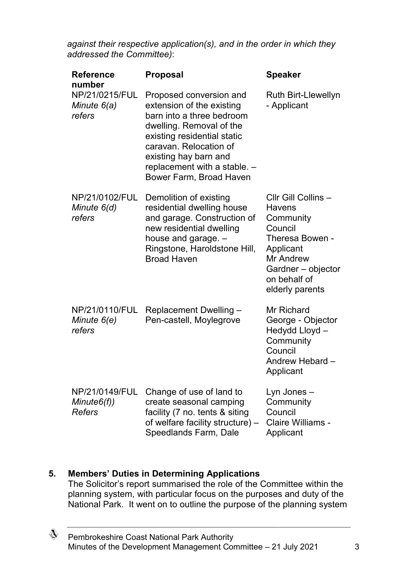*against their respective application(s), and in the order in which they addressed the Committee)*:

| <b>Reference</b><br>number                    | <b>Proposal</b>                                                                                                                                                                                                                                            | <b>Speaker</b>                                                                                                                                                     |
|-----------------------------------------------|------------------------------------------------------------------------------------------------------------------------------------------------------------------------------------------------------------------------------------------------------------|--------------------------------------------------------------------------------------------------------------------------------------------------------------------|
| NP/21/0215/FUL<br>Minute 6(a)<br>refers       | Proposed conversion and<br>extension of the existing<br>barn into a three bedroom<br>dwelling. Removal of the<br>existing residential static<br>caravan. Relocation of<br>existing hay barn and<br>replacement with a stable. -<br>Bower Farm, Broad Haven | Ruth Birt-Llewellyn<br>- Applicant                                                                                                                                 |
| NP/21/0102/FUL<br>Minute 6(d)<br>refers       | Demolition of existing<br>residential dwelling house<br>and garage. Construction of<br>new residential dwelling<br>house and garage. -<br>Ringstone, Haroldstone Hill,<br><b>Broad Haven</b>                                                               | Cllr Gill Collins -<br>Havens<br>Community<br>Council<br>Theresa Bowen -<br>Applicant<br><b>Mr Andrew</b><br>Gardner - objector<br>on behalf of<br>elderly parents |
| NP/21/0110/FUL<br>Minute 6(e)<br>refers       | Replacement Dwelling -<br>Pen-castell, Moylegrove                                                                                                                                                                                                          | Mr Richard<br>George - Objector<br>Hedydd Lloyd -<br>Community<br>Council<br>Andrew Hebard -<br>Applicant                                                          |
| NP/21/0149/FUL<br>Minute6(f)<br><b>Refers</b> | Change of use of land to<br>create seasonal camping<br>facility (7 no. tents & siting<br>of welfare facility structure) -<br>Speedlands Farm, Dale                                                                                                         | Lyn Jones –<br>Community<br>Council<br><b>Claire Williams -</b><br>Applicant                                                                                       |

## **5. Members' Duties in Determining Applications**

The Solicitor's report summarised the role of the Committee within the planning system, with particular focus on the purposes and duty of the National Park. It went on to outline the purpose of the planning system

 $\mathbb{Q}$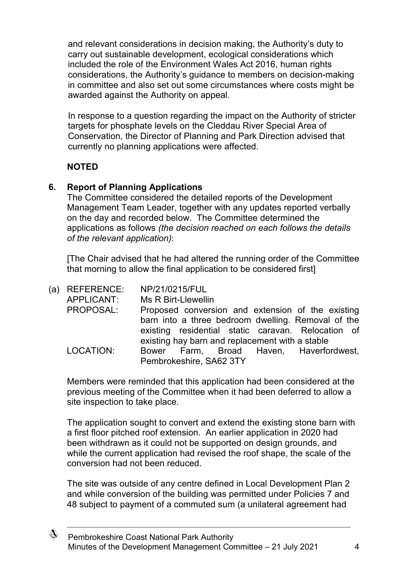and relevant considerations in decision making, the Authority's duty to carry out sustainable development, ecological considerations which included the role of the Environment Wales Act 2016, human rights considerations, the Authority's guidance to members on decision-making in committee and also set out some circumstances where costs might be awarded against the Authority on appeal.

In response to a question regarding the impact on the Authority of stricter targets for phosphate levels on the Cleddau River Special Area of Conservation, the Director of Planning and Park Direction advised that currently no planning applications were affected.

## **NOTED**

## **6. Report of Planning Applications**

The Committee considered the detailed reports of the Development Management Team Leader, together with any updates reported verbally on the day and recorded below. The Committee determined the applications as follows *(the decision reached on each follows the details of the relevant application)*:

[The Chair advised that he had altered the running order of the Committee that morning to allow the final application to be considered first]

| (a) REFERENCE:<br>APPLICANT: | NP/21/0215/FUL<br>Ms R Birt-Llewellin                              |
|------------------------------|--------------------------------------------------------------------|
| PROPOSAL:                    | Proposed conversion and extension of the existing                  |
|                              | barn into a three bedroom dwelling. Removal of the                 |
|                              | existing residential static caravan. Relocation of                 |
|                              | existing hay barn and replacement with a stable                    |
| LOCATION:                    | Bower Farm, Broad Haven, Haverfordwest,<br>Pembrokeshire, SA62 3TY |

Members were reminded that this application had been considered at the previous meeting of the Committee when it had been deferred to allow a site inspection to take place.

The application sought to convert and extend the existing stone barn with a first floor pitched roof extension. An earlier application in 2020 had been withdrawn as it could not be supported on design grounds, and while the current application had revised the roof shape, the scale of the conversion had not been reduced.

The site was outside of any centre defined in Local Development Plan 2 and while conversion of the building was permitted under Policies 7 and 48 subject to payment of a commuted sum (a unilateral agreement had

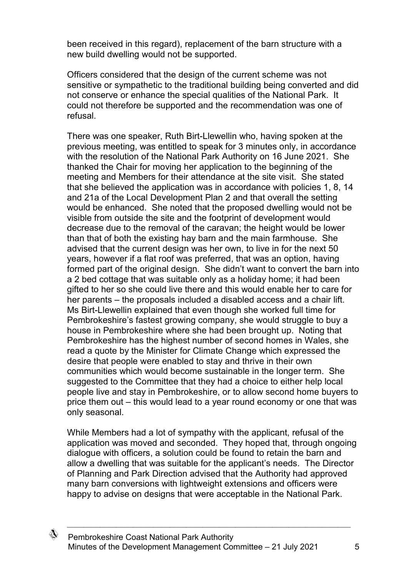been received in this regard), replacement of the barn structure with a new build dwelling would not be supported.

Officers considered that the design of the current scheme was not sensitive or sympathetic to the traditional building being converted and did not conserve or enhance the special qualities of the National Park. It could not therefore be supported and the recommendation was one of refusal.

There was one speaker, Ruth Birt-Llewellin who, having spoken at the previous meeting, was entitled to speak for 3 minutes only, in accordance with the resolution of the National Park Authority on 16 June 2021. She thanked the Chair for moving her application to the beginning of the meeting and Members for their attendance at the site visit. She stated that she believed the application was in accordance with policies 1, 8, 14 and 21a of the Local Development Plan 2 and that overall the setting would be enhanced. She noted that the proposed dwelling would not be visible from outside the site and the footprint of development would decrease due to the removal of the caravan; the height would be lower than that of both the existing hay barn and the main farmhouse. She advised that the current design was her own, to live in for the next 50 years, however if a flat roof was preferred, that was an option, having formed part of the original design. She didn't want to convert the barn into a 2 bed cottage that was suitable only as a holiday home; it had been gifted to her so she could live there and this would enable her to care for her parents – the proposals included a disabled access and a chair lift. Ms Birt-Llewellin explained that even though she worked full time for Pembrokeshire's fastest growing company, she would struggle to buy a house in Pembrokeshire where she had been brought up. Noting that Pembrokeshire has the highest number of second homes in Wales, she read a quote by the Minister for Climate Change which expressed the desire that people were enabled to stay and thrive in their own communities which would become sustainable in the longer term. She suggested to the Committee that they had a choice to either help local people live and stay in Pembrokeshire, or to allow second home buyers to price them out – this would lead to a year round economy or one that was only seasonal.

While Members had a lot of sympathy with the applicant, refusal of the application was moved and seconded. They hoped that, through ongoing dialogue with officers, a solution could be found to retain the barn and allow a dwelling that was suitable for the applicant's needs. The Director of Planning and Park Direction advised that the Authority had approved many barn conversions with lightweight extensions and officers were happy to advise on designs that were acceptable in the National Park.

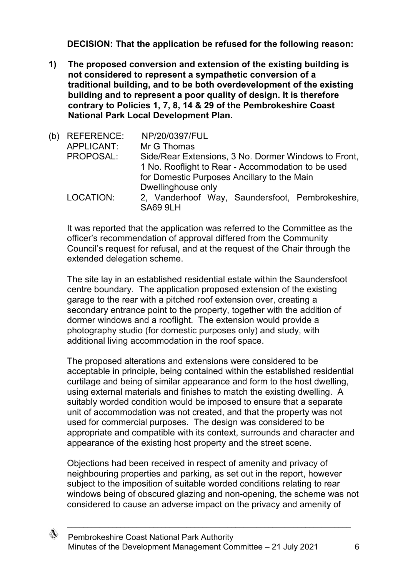**DECISION: That the application be refused for the following reason:**

**1) The proposed conversion and extension of the existing building is not considered to represent a sympathetic conversion of a traditional building, and to be both overdevelopment of the existing building and to represent a poor quality of design. It is therefore contrary to Policies 1, 7, 8, 14 & 29 of the Pembrokeshire Coast National Park Local Development Plan.**

| (b) | <b>REFERENCE:</b> | NP/20/0397/FUL                                                     |
|-----|-------------------|--------------------------------------------------------------------|
|     | APPLICANT:        | Mr G Thomas                                                        |
|     | PROPOSAL:         | Side/Rear Extensions, 3 No. Dormer Windows to Front,               |
|     |                   | 1 No. Rooflight to Rear - Accommodation to be used                 |
|     |                   | for Domestic Purposes Ancillary to the Main                        |
|     |                   | Dwellinghouse only                                                 |
|     | LOCATION:         | 2, Vanderhoof Way, Saundersfoot, Pembrokeshire,<br><b>SA69 9LH</b> |

It was reported that the application was referred to the Committee as the officer's recommendation of approval differed from the Community Council's request for refusal, and at the request of the Chair through the extended delegation scheme.

The site lay in an established residential estate within the Saundersfoot centre boundary. The application proposed extension of the existing garage to the rear with a pitched roof extension over, creating a secondary entrance point to the property, together with the addition of dormer windows and a rooflight. The extension would provide a photography studio (for domestic purposes only) and study, with additional living accommodation in the roof space.

The proposed alterations and extensions were considered to be acceptable in principle, being contained within the established residential curtilage and being of similar appearance and form to the host dwelling, using external materials and finishes to match the existing dwelling. A suitably worded condition would be imposed to ensure that a separate unit of accommodation was not created, and that the property was not used for commercial purposes. The design was considered to be appropriate and compatible with its context, surrounds and character and appearance of the existing host property and the street scene.

Objections had been received in respect of amenity and privacy of neighbouring properties and parking, as set out in the report, however subject to the imposition of suitable worded conditions relating to rear windows being of obscured glazing and non-opening, the scheme was not considered to cause an adverse impact on the privacy and amenity of

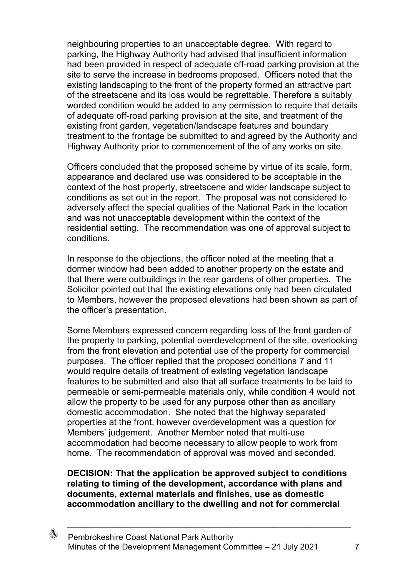neighbouring properties to an unacceptable degree. With regard to parking, the Highway Authority had advised that insufficient information had been provided in respect of adequate off-road parking provision at the site to serve the increase in bedrooms proposed. Officers noted that the existing landscaping to the front of the property formed an attractive part of the streetscene and its loss would be regrettable. Therefore a suitably worded condition would be added to any permission to require that details of adequate off-road parking provision at the site, and treatment of the existing front garden, vegetation/landscape features and boundary treatment to the frontage be submitted to and agreed by the Authority and Highway Authority prior to commencement of the of any works on site.

Officers concluded that the proposed scheme by virtue of its scale, form, appearance and declared use was considered to be acceptable in the context of the host property, streetscene and wider landscape subject to conditions as set out in the report. The proposal was not considered to adversely affect the special qualities of the National Park in the location and was not unacceptable development within the context of the residential setting. The recommendation was one of approval subject to conditions.

In response to the objections, the officer noted at the meeting that a dormer window had been added to another property on the estate and that there were outbuildings in the rear gardens of other properties. The Solicitor pointed out that the existing elevations only had been circulated to Members, however the proposed elevations had been shown as part of the officer's presentation.

Some Members expressed concern regarding loss of the front garden of the property to parking, potential overdevelopment of the site, overlooking from the front elevation and potential use of the property for commercial purposes. The officer replied that the proposed conditions 7 and 11 would require details of treatment of existing vegetation landscape features to be submitted and also that all surface treatments to be laid to permeable or semi-permeable materials only, while condition 4 would not allow the property to be used for any purpose other than as ancillary domestic accommodation. She noted that the highway separated properties at the front, however overdevelopment was a question for Members' judgement. Another Member noted that multi-use accommodation had become necessary to allow people to work from home. The recommendation of approval was moved and seconded.

#### **DECISION: That the application be approved subject to conditions relating to timing of the development, accordance with plans and documents, external materials and finishes, use as domestic accommodation ancillary to the dwelling and not for commercial**

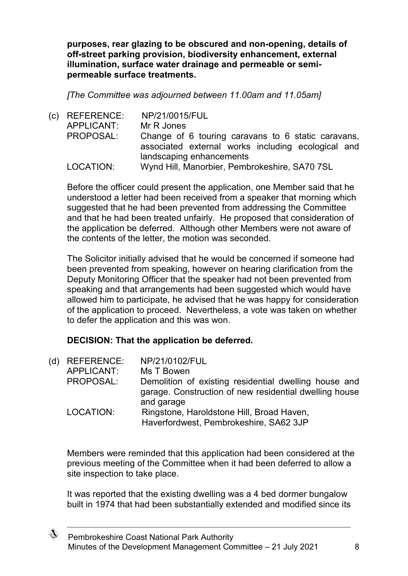**purposes, rear glazing to be obscured and non-opening, details of off-street parking provision, biodiversity enhancement, external illumination, surface water drainage and permeable or semipermeable surface treatments.**

*[The Committee was adjourned between 11.00am and 11.05am]*

(c) REFERENCE: NP/21/0015/FUL APPLICANT: Mr R Jones PROPOSAL: Change of 6 touring caravans to 6 static caravans, associated external works including ecological and landscaping enhancements LOCATION: Wynd Hill, Manorbier, Pembrokeshire, SA70 7SL

Before the officer could present the application, one Member said that he understood a letter had been received from a speaker that morning which suggested that he had been prevented from addressing the Committee and that he had been treated unfairly. He proposed that consideration of the application be deferred. Although other Members were not aware of the contents of the letter, the motion was seconded.

The Solicitor initially advised that he would be concerned if someone had been prevented from speaking, however on hearing clarification from the Deputy Monitoring Officer that the speaker had not been prevented from speaking and that arrangements had been suggested which would have allowed him to participate, he advised that he was happy for consideration of the application to proceed. Nevertheless, a vote was taken on whether to defer the application and this was won.

## **DECISION: That the application be deferred.**

| (d) | <b>REFERENCE:</b> | NP/21/0102/FUL                                                                                                                |
|-----|-------------------|-------------------------------------------------------------------------------------------------------------------------------|
|     | APPLICANT:        | Ms T Bowen                                                                                                                    |
|     | PROPOSAL:         | Demolition of existing residential dwelling house and<br>garage. Construction of new residential dwelling house<br>and garage |
|     | LOCATION:         | Ringstone, Haroldstone Hill, Broad Haven,<br>Haverfordwest, Pembrokeshire, SA62 3JP                                           |

Members were reminded that this application had been considered at the previous meeting of the Committee when it had been deferred to allow a site inspection to take place.

It was reported that the existing dwelling was a 4 bed dormer bungalow built in 1974 that had been substantially extended and modified since its

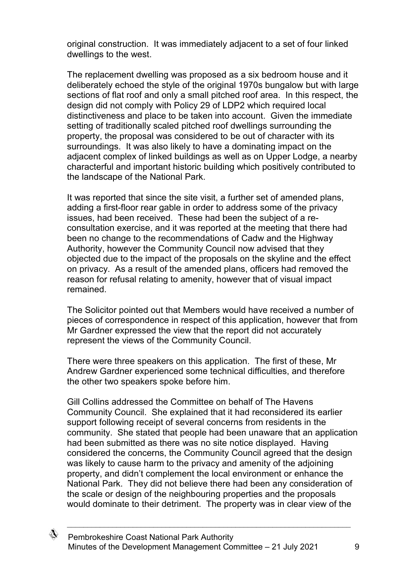original construction. It was immediately adjacent to a set of four linked dwellings to the west.

The replacement dwelling was proposed as a six bedroom house and it deliberately echoed the style of the original 1970s bungalow but with large sections of flat roof and only a small pitched roof area. In this respect, the design did not comply with Policy 29 of LDP2 which required local distinctiveness and place to be taken into account. Given the immediate setting of traditionally scaled pitched roof dwellings surrounding the property, the proposal was considered to be out of character with its surroundings. It was also likely to have a dominating impact on the adjacent complex of linked buildings as well as on Upper Lodge, a nearby characterful and important historic building which positively contributed to the landscape of the National Park.

It was reported that since the site visit, a further set of amended plans, adding a first-floor rear gable in order to address some of the privacy issues, had been received. These had been the subject of a reconsultation exercise, and it was reported at the meeting that there had been no change to the recommendations of Cadw and the Highway Authority, however the Community Council now advised that they objected due to the impact of the proposals on the skyline and the effect on privacy. As a result of the amended plans, officers had removed the reason for refusal relating to amenity, however that of visual impact remained.

The Solicitor pointed out that Members would have received a number of pieces of correspondence in respect of this application, however that from Mr Gardner expressed the view that the report did not accurately represent the views of the Community Council.

There were three speakers on this application. The first of these, Mr Andrew Gardner experienced some technical difficulties, and therefore the other two speakers spoke before him.

Gill Collins addressed the Committee on behalf of The Havens Community Council. She explained that it had reconsidered its earlier support following receipt of several concerns from residents in the community. She stated that people had been unaware that an application had been submitted as there was no site notice displayed. Having considered the concerns, the Community Council agreed that the design was likely to cause harm to the privacy and amenity of the adjoining property, and didn't complement the local environment or enhance the National Park. They did not believe there had been any consideration of the scale or design of the neighbouring properties and the proposals would dominate to their detriment. The property was in clear view of the

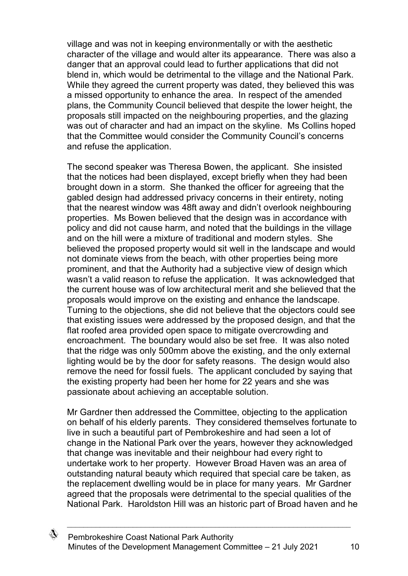village and was not in keeping environmentally or with the aesthetic character of the village and would alter its appearance. There was also a danger that an approval could lead to further applications that did not blend in, which would be detrimental to the village and the National Park. While they agreed the current property was dated, they believed this was a missed opportunity to enhance the area. In respect of the amended plans, the Community Council believed that despite the lower height, the proposals still impacted on the neighbouring properties, and the glazing was out of character and had an impact on the skyline. Ms Collins hoped that the Committee would consider the Community Council's concerns and refuse the application.

The second speaker was Theresa Bowen, the applicant. She insisted that the notices had been displayed, except briefly when they had been brought down in a storm. She thanked the officer for agreeing that the gabled design had addressed privacy concerns in their entirety, noting that the nearest window was 48ft away and didn't overlook neighbouring properties. Ms Bowen believed that the design was in accordance with policy and did not cause harm, and noted that the buildings in the village and on the hill were a mixture of traditional and modern styles. She believed the proposed property would sit well in the landscape and would not dominate views from the beach, with other properties being more prominent, and that the Authority had a subjective view of design which wasn't a valid reason to refuse the application. It was acknowledged that the current house was of low architectural merit and she believed that the proposals would improve on the existing and enhance the landscape. Turning to the objections, she did not believe that the objectors could see that existing issues were addressed by the proposed design, and that the flat roofed area provided open space to mitigate overcrowding and encroachment. The boundary would also be set free. It was also noted that the ridge was only 500mm above the existing, and the only external lighting would be by the door for safety reasons. The design would also remove the need for fossil fuels. The applicant concluded by saying that the existing property had been her home for 22 years and she was passionate about achieving an acceptable solution.

Mr Gardner then addressed the Committee, objecting to the application on behalf of his elderly parents. They considered themselves fortunate to live in such a beautiful part of Pembrokeshire and had seen a lot of change in the National Park over the years, however they acknowledged that change was inevitable and their neighbour had every right to undertake work to her property. However Broad Haven was an area of outstanding natural beauty which required that special care be taken, as the replacement dwelling would be in place for many years. Mr Gardner agreed that the proposals were detrimental to the special qualities of the National Park. Haroldston Hill was an historic part of Broad haven and he

</del>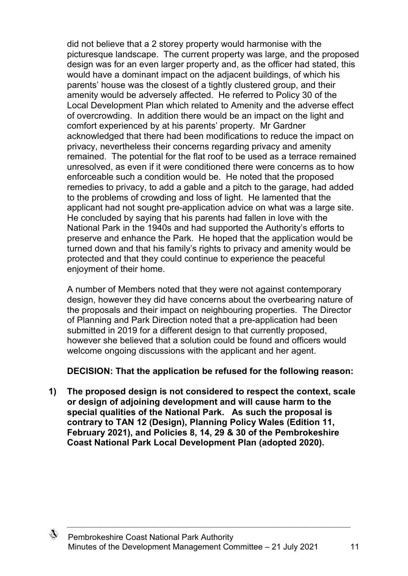did not believe that a 2 storey property would harmonise with the picturesque landscape. The current property was large, and the proposed design was for an even larger property and, as the officer had stated, this would have a dominant impact on the adjacent buildings, of which his parents' house was the closest of a tightly clustered group, and their amenity would be adversely affected. He referred to Policy 30 of the Local Development Plan which related to Amenity and the adverse effect of overcrowding. In addition there would be an impact on the light and comfort experienced by at his parents' property. Mr Gardner acknowledged that there had been modifications to reduce the impact on privacy, nevertheless their concerns regarding privacy and amenity remained. The potential for the flat roof to be used as a terrace remained unresolved, as even if it were conditioned there were concerns as to how enforceable such a condition would be. He noted that the proposed remedies to privacy, to add a gable and a pitch to the garage, had added to the problems of crowding and loss of light. He lamented that the applicant had not sought pre-application advice on what was a large site. He concluded by saying that his parents had fallen in love with the National Park in the 1940s and had supported the Authority's efforts to preserve and enhance the Park. He hoped that the application would be turned down and that his family's rights to privacy and amenity would be protected and that they could continue to experience the peaceful enjoyment of their home.

A number of Members noted that they were not against contemporary design, however they did have concerns about the overbearing nature of the proposals and their impact on neighbouring properties. The Director of Planning and Park Direction noted that a pre-application had been submitted in 2019 for a different design to that currently proposed, however she believed that a solution could be found and officers would welcome ongoing discussions with the applicant and her agent.

**DECISION: That the application be refused for the following reason:**

**1) The proposed design is not considered to respect the context, scale or design of adjoining development and will cause harm to the special qualities of the National Park. As such the proposal is contrary to TAN 12 (Design), Planning Policy Wales (Edition 11, February 2021), and Policies 8, 14, 29 & 30 of the Pembrokeshire Coast National Park Local Development Plan (adopted 2020).**

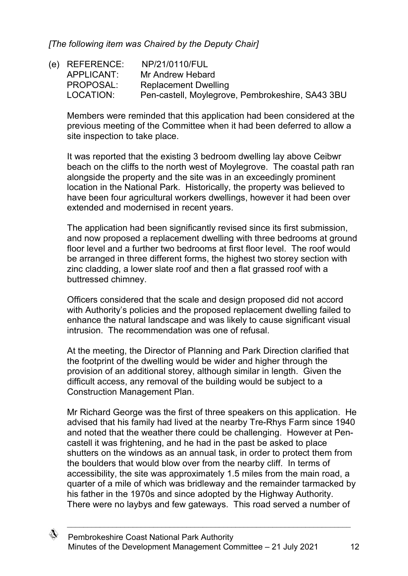*[The following item was Chaired by the Deputy Chair]*

(e) REFERENCE: NP/21/0110/FUL APPLICANT: Mr Andrew Hebard<br>PROPOSAL: Replacement Dwell Replacement Dwelling LOCATION: Pen-castell, Moylegrove, Pembrokeshire, SA43 3BU

Members were reminded that this application had been considered at the previous meeting of the Committee when it had been deferred to allow a site inspection to take place.

It was reported that the existing 3 bedroom dwelling lay above Ceibwr beach on the cliffs to the north west of Moylegrove. The coastal path ran alongside the property and the site was in an exceedingly prominent location in the National Park. Historically, the property was believed to have been four agricultural workers dwellings, however it had been over extended and modernised in recent years.

The application had been significantly revised since its first submission, and now proposed a replacement dwelling with three bedrooms at ground floor level and a further two bedrooms at first floor level. The roof would be arranged in three different forms, the highest two storey section with zinc cladding, a lower slate roof and then a flat grassed roof with a buttressed chimney.

Officers considered that the scale and design proposed did not accord with Authority's policies and the proposed replacement dwelling failed to enhance the natural landscape and was likely to cause significant visual intrusion. The recommendation was one of refusal.

At the meeting, the Director of Planning and Park Direction clarified that the footprint of the dwelling would be wider and higher through the provision of an additional storey, although similar in length. Given the difficult access, any removal of the building would be subject to a Construction Management Plan.

Mr Richard George was the first of three speakers on this application. He advised that his family had lived at the nearby Tre-Rhys Farm since 1940 and noted that the weather there could be challenging. However at Pencastell it was frightening, and he had in the past be asked to place shutters on the windows as an annual task, in order to protect them from the boulders that would blow over from the nearby cliff. In terms of accessibility, the site was approximately 1.5 miles from the main road, a quarter of a mile of which was bridleway and the remainder tarmacked by his father in the 1970s and since adopted by the Highway Authority. There were no laybys and few gateways. This road served a number of

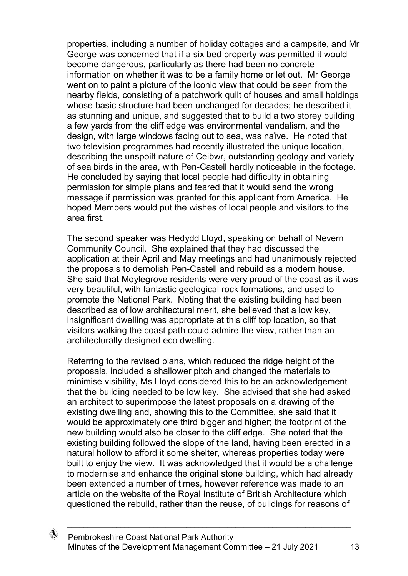properties, including a number of holiday cottages and a campsite, and Mr George was concerned that if a six bed property was permitted it would become dangerous, particularly as there had been no concrete information on whether it was to be a family home or let out. Mr George went on to paint a picture of the iconic view that could be seen from the nearby fields, consisting of a patchwork quilt of houses and small holdings whose basic structure had been unchanged for decades; he described it as stunning and unique, and suggested that to build a two storey building a few yards from the cliff edge was environmental vandalism, and the design, with large windows facing out to sea, was naïve. He noted that two television programmes had recently illustrated the unique location, describing the unspoilt nature of Ceibwr, outstanding geology and variety of sea birds in the area, with Pen-Castell hardly noticeable in the footage. He concluded by saying that local people had difficulty in obtaining permission for simple plans and feared that it would send the wrong message if permission was granted for this applicant from America. He hoped Members would put the wishes of local people and visitors to the area first.

The second speaker was Hedydd Lloyd, speaking on behalf of Nevern Community Council. She explained that they had discussed the application at their April and May meetings and had unanimously rejected the proposals to demolish Pen-Castell and rebuild as a modern house. She said that Moylegrove residents were very proud of the coast as it was very beautiful, with fantastic geological rock formations, and used to promote the National Park. Noting that the existing building had been described as of low architectural merit, she believed that a low key, insignificant dwelling was appropriate at this cliff top location, so that visitors walking the coast path could admire the view, rather than an architecturally designed eco dwelling.

Referring to the revised plans, which reduced the ridge height of the proposals, included a shallower pitch and changed the materials to minimise visibility, Ms Lloyd considered this to be an acknowledgement that the building needed to be low key. She advised that she had asked an architect to superimpose the latest proposals on a drawing of the existing dwelling and, showing this to the Committee, she said that it would be approximately one third bigger and higher; the footprint of the new building would also be closer to the cliff edge. She noted that the existing building followed the slope of the land, having been erected in a natural hollow to afford it some shelter, whereas properties today were built to enjoy the view. It was acknowledged that it would be a challenge to modernise and enhance the original stone building, which had already been extended a number of times, however reference was made to an article on the website of the Royal Institute of British Architecture which questioned the rebuild, rather than the reuse, of buildings for reasons of

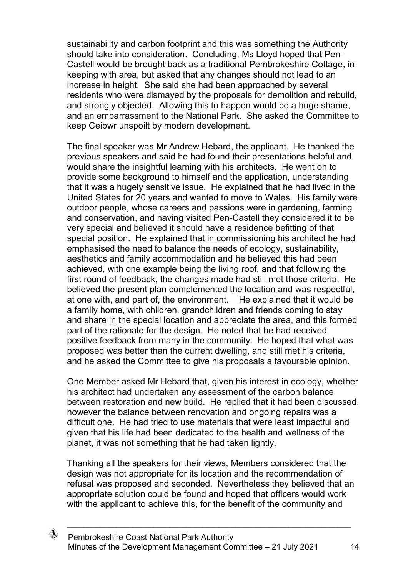sustainability and carbon footprint and this was something the Authority should take into consideration. Concluding, Ms Lloyd hoped that Pen-Castell would be brought back as a traditional Pembrokeshire Cottage, in keeping with area, but asked that any changes should not lead to an increase in height. She said she had been approached by several residents who were dismayed by the proposals for demolition and rebuild, and strongly objected. Allowing this to happen would be a huge shame, and an embarrassment to the National Park. She asked the Committee to keep Ceibwr unspoilt by modern development.

The final speaker was Mr Andrew Hebard, the applicant. He thanked the previous speakers and said he had found their presentations helpful and would share the insightful learning with his architects. He went on to provide some background to himself and the application, understanding that it was a hugely sensitive issue. He explained that he had lived in the United States for 20 years and wanted to move to Wales. His family were outdoor people, whose careers and passions were in gardening, farming and conservation, and having visited Pen-Castell they considered it to be very special and believed it should have a residence befitting of that special position. He explained that in commissioning his architect he had emphasised the need to balance the needs of ecology, sustainability, aesthetics and family accommodation and he believed this had been achieved, with one example being the living roof, and that following the first round of feedback, the changes made had still met those criteria. He believed the present plan complemented the location and was respectful, at one with, and part of, the environment. He explained that it would be a family home, with children, grandchildren and friends coming to stay and share in the special location and appreciate the area, and this formed part of the rationale for the design. He noted that he had received positive feedback from many in the community. He hoped that what was proposed was better than the current dwelling, and still met his criteria, and he asked the Committee to give his proposals a favourable opinion.

One Member asked Mr Hebard that, given his interest in ecology, whether his architect had undertaken any assessment of the carbon balance between restoration and new build. He replied that it had been discussed, however the balance between renovation and ongoing repairs was a difficult one. He had tried to use materials that were least impactful and given that his life had been dedicated to the health and wellness of the planet, it was not something that he had taken lightly.

Thanking all the speakers for their views, Members considered that the design was not appropriate for its location and the recommendation of refusal was proposed and seconded. Nevertheless they believed that an appropriate solution could be found and hoped that officers would work with the applicant to achieve this, for the benefit of the community and

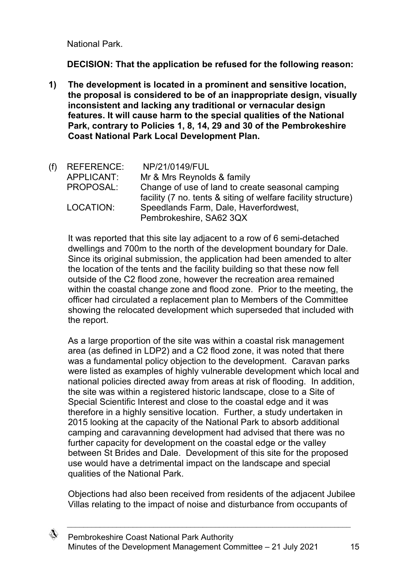National Park.

**DECISION: That the application be refused for the following reason:**

**1) The development is located in a prominent and sensitive location, the proposal is considered to be of an inappropriate design, visually inconsistent and lacking any traditional or vernacular design features. It will cause harm to the special qualities of the National Park, contrary to Policies 1, 8, 14, 29 and 30 of the Pembrokeshire Coast National Park Local Development Plan.**

| (f) REFERENCE: | NP/21/0149/FUL                                                |
|----------------|---------------------------------------------------------------|
| APPLICANT:     | Mr & Mrs Reynolds & family                                    |
| PROPOSAL:      | Change of use of land to create seasonal camping              |
|                | facility (7 no. tents & siting of welfare facility structure) |
| LOCATION:      | Speedlands Farm, Dale, Haverfordwest,                         |
|                | Pembrokeshire, SA62 3QX                                       |

It was reported that this site lay adjacent to a row of 6 semi-detached dwellings and 700m to the north of the development boundary for Dale. Since its original submission, the application had been amended to alter the location of the tents and the facility building so that these now fell outside of the C2 flood zone, however the recreation area remained within the coastal change zone and flood zone. Prior to the meeting, the officer had circulated a replacement plan to Members of the Committee showing the relocated development which superseded that included with the report.

As a large proportion of the site was within a coastal risk management area (as defined in LDP2) and a C2 flood zone, it was noted that there was a fundamental policy objection to the development. Caravan parks were listed as examples of highly vulnerable development which local and national policies directed away from areas at risk of flooding. In addition, the site was within a registered historic landscape, close to a Site of Special Scientific Interest and close to the coastal edge and it was therefore in a highly sensitive location. Further, a study undertaken in 2015 looking at the capacity of the National Park to absorb additional camping and caravanning development had advised that there was no further capacity for development on the coastal edge or the valley between St Brides and Dale. Development of this site for the proposed use would have a detrimental impact on the landscape and special qualities of the National Park.

Objections had also been received from residents of the adjacent Jubilee Villas relating to the impact of noise and disturbance from occupants of

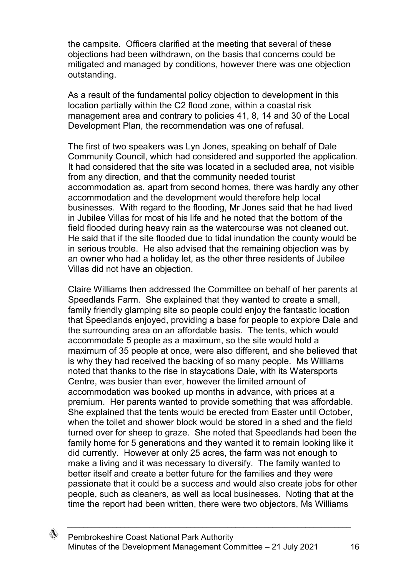the campsite. Officers clarified at the meeting that several of these objections had been withdrawn, on the basis that concerns could be mitigated and managed by conditions, however there was one objection outstanding.

As a result of the fundamental policy objection to development in this location partially within the C2 flood zone, within a coastal risk management area and contrary to policies 41, 8, 14 and 30 of the Local Development Plan, the recommendation was one of refusal.

The first of two speakers was Lyn Jones, speaking on behalf of Dale Community Council, which had considered and supported the application. It had considered that the site was located in a secluded area, not visible from any direction, and that the community needed tourist accommodation as, apart from second homes, there was hardly any other accommodation and the development would therefore help local businesses. With regard to the flooding, Mr Jones said that he had lived in Jubilee Villas for most of his life and he noted that the bottom of the field flooded during heavy rain as the watercourse was not cleaned out. He said that if the site flooded due to tidal inundation the county would be in serious trouble. He also advised that the remaining objection was by an owner who had a holiday let, as the other three residents of Jubilee Villas did not have an objection.

Claire Williams then addressed the Committee on behalf of her parents at Speedlands Farm. She explained that they wanted to create a small, family friendly glamping site so people could enjoy the fantastic location that Speedlands enjoyed, providing a base for people to explore Dale and the surrounding area on an affordable basis. The tents, which would accommodate 5 people as a maximum, so the site would hold a maximum of 35 people at once, were also different, and she believed that is why they had received the backing of so many people. Ms Williams noted that thanks to the rise in staycations Dale, with its Watersports Centre, was busier than ever, however the limited amount of accommodation was booked up months in advance, with prices at a premium. Her parents wanted to provide something that was affordable. She explained that the tents would be erected from Easter until October, when the toilet and shower block would be stored in a shed and the field turned over for sheep to graze. She noted that Speedlands had been the family home for 5 generations and they wanted it to remain looking like it did currently. However at only 25 acres, the farm was not enough to make a living and it was necessary to diversify. The family wanted to better itself and create a better future for the families and they were passionate that it could be a success and would also create jobs for other people, such as cleaners, as well as local businesses. Noting that at the time the report had been written, there were two objectors, Ms Williams

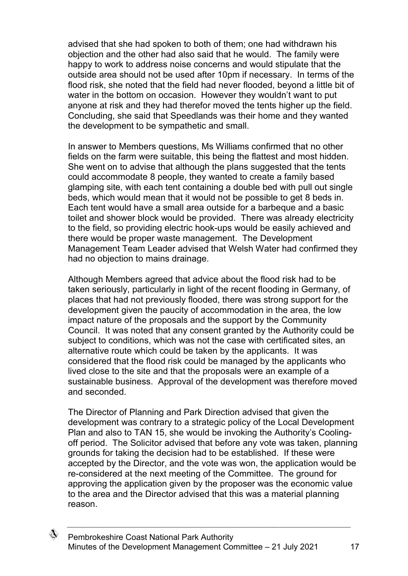advised that she had spoken to both of them; one had withdrawn his objection and the other had also said that he would. The family were happy to work to address noise concerns and would stipulate that the outside area should not be used after 10pm if necessary. In terms of the flood risk, she noted that the field had never flooded, beyond a little bit of water in the bottom on occasion. However they wouldn't want to put anyone at risk and they had therefor moved the tents higher up the field. Concluding, she said that Speedlands was their home and they wanted the development to be sympathetic and small.

In answer to Members questions, Ms Williams confirmed that no other fields on the farm were suitable, this being the flattest and most hidden. She went on to advise that although the plans suggested that the tents could accommodate 8 people, they wanted to create a family based glamping site, with each tent containing a double bed with pull out single beds, which would mean that it would not be possible to get 8 beds in. Each tent would have a small area outside for a barbeque and a basic toilet and shower block would be provided. There was already electricity to the field, so providing electric hook-ups would be easily achieved and there would be proper waste management. The Development Management Team Leader advised that Welsh Water had confirmed they had no objection to mains drainage.

Although Members agreed that advice about the flood risk had to be taken seriously, particularly in light of the recent flooding in Germany, of places that had not previously flooded, there was strong support for the development given the paucity of accommodation in the area, the low impact nature of the proposals and the support by the Community Council. It was noted that any consent granted by the Authority could be subject to conditions, which was not the case with certificated sites, an alternative route which could be taken by the applicants. It was considered that the flood risk could be managed by the applicants who lived close to the site and that the proposals were an example of a sustainable business. Approval of the development was therefore moved and seconded.

The Director of Planning and Park Direction advised that given the development was contrary to a strategic policy of the Local Development Plan and also to TAN 15, she would be invoking the Authority's Coolingoff period. The Solicitor advised that before any vote was taken, planning grounds for taking the decision had to be established. If these were accepted by the Director, and the vote was won, the application would be re-considered at the next meeting of the Committee. The ground for approving the application given by the proposer was the economic value to the area and the Director advised that this was a material planning reason.

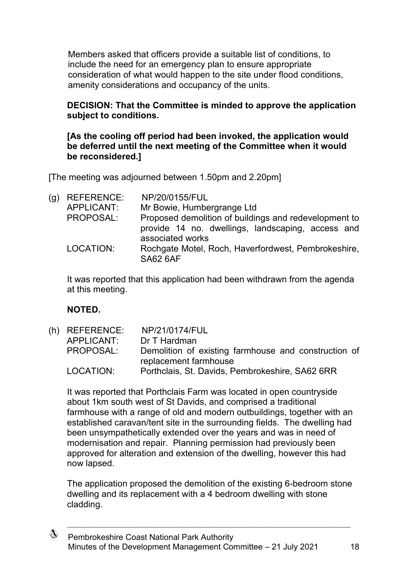Members asked that officers provide a suitable list of conditions, to include the need for an emergency plan to ensure appropriate consideration of what would happen to the site under flood conditions, amenity considerations and occupancy of the units.

### **DECISION: That the Committee is minded to approve the application subject to conditions.**

#### **[As the cooling off period had been invoked, the application would be deferred until the next meeting of the Committee when it would be reconsidered.]**

[The meeting was adjourned between 1.50pm and 2.20pm]

| (g) | <b>REFERENCE:</b> | NP/20/0155/FUL                                                                                                                 |
|-----|-------------------|--------------------------------------------------------------------------------------------------------------------------------|
|     | APPLICANT:        | Mr Bowie, Humbergrange Ltd                                                                                                     |
|     | PROPOSAL:         | Proposed demolition of buildings and redevelopment to<br>provide 14 no. dwellings, landscaping, access and<br>associated works |
|     | LOCATION:         | Rochgate Motel, Roch, Haverfordwest, Pembrokeshire,<br><b>SA62 6AF</b>                                                         |

It was reported that this application had been withdrawn from the agenda at this meeting.

## **NOTED.**

(h) REFERENCE: NP/21/0174/FUL APPLICANT: Dr T Hardman PROPOSAL: Demolition of existing farmhouse and construction of replacement farmhouse LOCATION: Porthclais, St. Davids, Pembrokeshire, SA62 6RR

It was reported that Porthclais Farm was located in open countryside about 1km south west of St Davids, and comprised a traditional farmhouse with a range of old and modern outbuildings, together with an established caravan/tent site in the surrounding fields. The dwelling had been unsympathetically extended over the years and was in need of modernisation and repair. Planning permission had previously been approved for alteration and extension of the dwelling, however this had now lapsed.

The application proposed the demolition of the existing 6-bedroom stone dwelling and its replacement with a 4 bedroom dwelling with stone cladding.

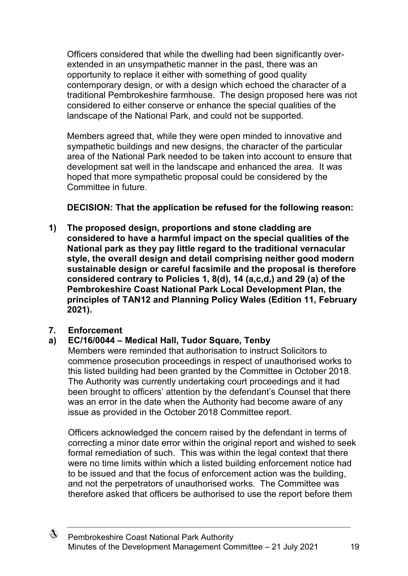Officers considered that while the dwelling had been significantly overextended in an unsympathetic manner in the past, there was an opportunity to replace it either with something of good quality contemporary design, or with a design which echoed the character of a traditional Pembrokeshire farmhouse. The design proposed here was not considered to either conserve or enhance the special qualities of the landscape of the National Park, and could not be supported.

Members agreed that, while they were open minded to innovative and sympathetic buildings and new designs, the character of the particular area of the National Park needed to be taken into account to ensure that development sat well in the landscape and enhanced the area. It was hoped that more sympathetic proposal could be considered by the Committee in future.

**DECISION: That the application be refused for the following reason:**

**1) The proposed design, proportions and stone cladding are considered to have a harmful impact on the special qualities of the National park as they pay little regard to the traditional vernacular style, the overall design and detail comprising neither good modern sustainable design or careful facsimile and the proposal is therefore considered contrary to Policies 1, 8(d), 14 (a,c,d,) and 29 (a) of the Pembrokeshire Coast National Park Local Development Plan, the principles of TAN12 and Planning Policy Wales (Edition 11, February 2021).**

## **7. Enforcement**

# **a) EC/16/0044 – Medical Hall, Tudor Square, Tenby**

Members were reminded that authorisation to instruct Solicitors to commence prosecution proceedings in respect of unauthorised works to this listed building had been granted by the Committee in October 2018. The Authority was currently undertaking court proceedings and it had been brought to officers' attention by the defendant's Counsel that there was an error in the date when the Authority had become aware of any issue as provided in the October 2018 Committee report.

Officers acknowledged the concern raised by the defendant in terms of correcting a minor date error within the original report and wished to seek formal remediation of such. This was within the legal context that there were no time limits within which a listed building enforcement notice had to be issued and that the focus of enforcement action was the building, and not the perpetrators of unauthorised works. The Committee was therefore asked that officers be authorised to use the report before them

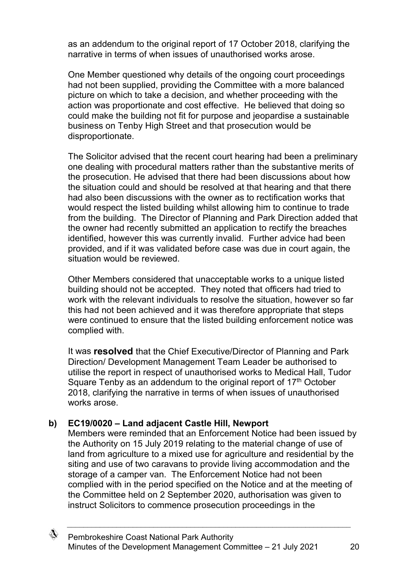as an addendum to the original report of 17 October 2018, clarifying the narrative in terms of when issues of unauthorised works arose.

One Member questioned why details of the ongoing court proceedings had not been supplied, providing the Committee with a more balanced picture on which to take a decision, and whether proceeding with the action was proportionate and cost effective. He believed that doing so could make the building not fit for purpose and jeopardise a sustainable business on Tenby High Street and that prosecution would be disproportionate.

The Solicitor advised that the recent court hearing had been a preliminary one dealing with procedural matters rather than the substantive merits of the prosecution. He advised that there had been discussions about how the situation could and should be resolved at that hearing and that there had also been discussions with the owner as to rectification works that would respect the listed building whilst allowing him to continue to trade from the building. The Director of Planning and Park Direction added that the owner had recently submitted an application to rectify the breaches identified, however this was currently invalid. Further advice had been provided, and if it was validated before case was due in court again, the situation would be reviewed.

Other Members considered that unacceptable works to a unique listed building should not be accepted. They noted that officers had tried to work with the relevant individuals to resolve the situation, however so far this had not been achieved and it was therefore appropriate that steps were continued to ensure that the listed building enforcement notice was complied with.

It was **resolved** that the Chief Executive/Director of Planning and Park Direction/ Development Management Team Leader be authorised to utilise the report in respect of unauthorised works to Medical Hall, Tudor Square Tenby as an addendum to the original report of 17<sup>th</sup> October 2018, clarifying the narrative in terms of when issues of unauthorised works arose.

## **b) EC19/0020 – Land adjacent Castle Hill, Newport**

Members were reminded that an Enforcement Notice had been issued by the Authority on 15 July 2019 relating to the material change of use of land from agriculture to a mixed use for agriculture and residential by the siting and use of two caravans to provide living accommodation and the storage of a camper van. The Enforcement Notice had not been complied with in the period specified on the Notice and at the meeting of the Committee held on 2 September 2020, authorisation was given to instruct Solicitors to commence prosecution proceedings in the

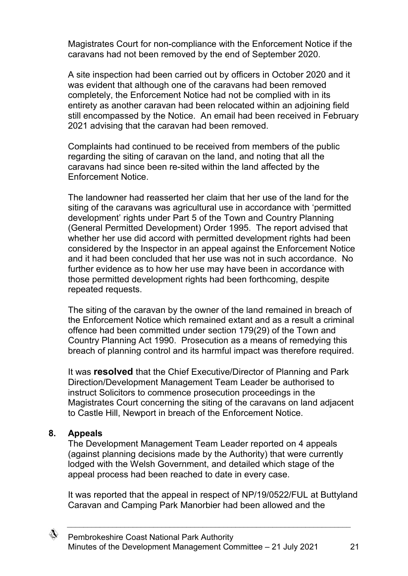Magistrates Court for non-compliance with the Enforcement Notice if the caravans had not been removed by the end of September 2020.

A site inspection had been carried out by officers in October 2020 and it was evident that although one of the caravans had been removed completely, the Enforcement Notice had not be complied with in its entirety as another caravan had been relocated within an adjoining field still encompassed by the Notice. An email had been received in February 2021 advising that the caravan had been removed.

Complaints had continued to be received from members of the public regarding the siting of caravan on the land, and noting that all the caravans had since been re-sited within the land affected by the Enforcement Notice.

The landowner had reasserted her claim that her use of the land for the siting of the caravans was agricultural use in accordance with 'permitted development' rights under Part 5 of the Town and Country Planning (General Permitted Development) Order 1995. The report advised that whether her use did accord with permitted development rights had been considered by the Inspector in an appeal against the Enforcement Notice and it had been concluded that her use was not in such accordance. No further evidence as to how her use may have been in accordance with those permitted development rights had been forthcoming, despite repeated requests.

The siting of the caravan by the owner of the land remained in breach of the Enforcement Notice which remained extant and as a result a criminal offence had been committed under section 179(29) of the Town and Country Planning Act 1990. Prosecution as a means of remedying this breach of planning control and its harmful impact was therefore required.

It was **resolved** that the Chief Executive/Director of Planning and Park Direction/Development Management Team Leader be authorised to instruct Solicitors to commence prosecution proceedings in the Magistrates Court concerning the siting of the caravans on land adjacent to Castle Hill, Newport in breach of the Enforcement Notice.

#### **8. Appeals**

The Development Management Team Leader reported on 4 appeals (against planning decisions made by the Authority) that were currently lodged with the Welsh Government, and detailed which stage of the appeal process had been reached to date in every case.

It was reported that the appeal in respect of NP/19/0522/FUL at Buttyland Caravan and Camping Park Manorbier had been allowed and the